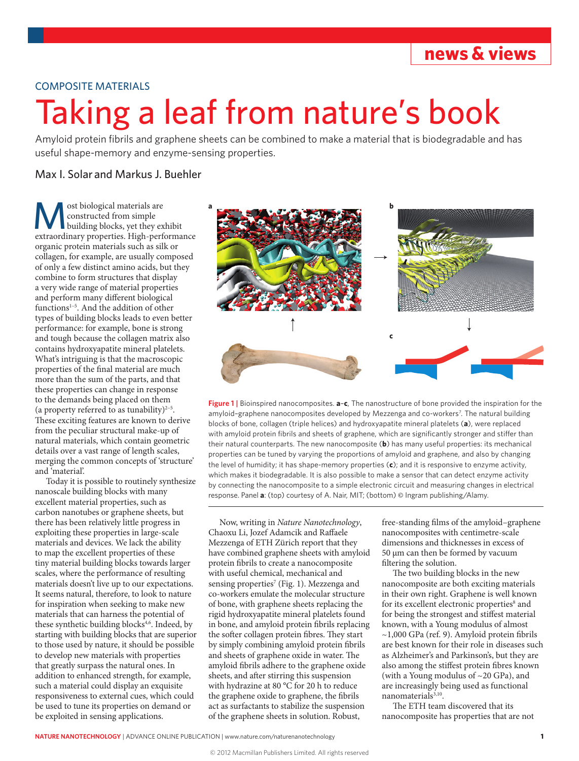## **news & views**

### COMPOSITE MATERIALS

# Taking a leaf from nature's book

Amyloid protein fibrils and graphene sheets can be combined to make a material that is biodegradable and has useful shape-memory and enzyme-sensing properties.

### Max I. Solar and Markus J. Buehler

Most biological materials are<br>
building blocks, yet they exhibit<br>
extraordinary properties High-performa constructed from simple extraordinary properties. High-performance organic protein materials such as silk or collagen, for example, are usually composed of only a few distinct amino acids, but they combine to form structures that display a very wide range of material properties and perform many different biological functions<sup>1-5</sup>. And the addition of other types of building blocks leads to even better performance: for example, bone is strong and tough because the collagen matrix also contains hydroxyapatite mineral platelets. What's intriguing is that the macroscopic properties of the final material are much more than the sum of the parts, and that these properties can change in response to the demands being placed on them (a property referred to as tunability)<sup>2-5</sup>. These exciting features are known to derive from the peculiar structural make-up of natural materials, which contain geometric details over a vast range of length scales, merging the common concepts of 'structure' and 'material'.

Today it is possible to routinely synthesize nanoscale building blocks with many excellent material properties, such as carbon nanotubes or graphene sheets, but there has been relatively little progress in exploiting these properties in large-scale materials and devices. We lack the ability to map the excellent properties of these tiny material building blocks towards larger scales, where the performance of resulting materials doesn't live up to our expectations. It seems natural, therefore, to look to nature for inspiration when seeking to make new materials that can harness the potential of these synthetic building blocks<sup>4,6</sup>. Indeed, by starting with building blocks that are superior to those used by nature, it should be possible to develop new materials with properties that greatly surpass the natural ones. In addition to enhanced strength, for example, such a material could display an exquisite responsiveness to external cues, which could be used to tune its properties on demand or be exploited in sensing applications.



**Figure 1 |** Bioinspired nanocomposites. **a**–**c**, The nanostructure of bone provided the inspiration for the amyloid-graphene nanocomposites developed by Mezzenga and co-workers<sup>7</sup>. The natural building blocks of bone, collagen (triple helices) and hydroxyapatite mineral platelets (**a**), were replaced with amyloid protein fibrils and sheets of graphene, which are significantly stronger and stiffer than their natural counterparts. The new nanocomposite (**b**) has many useful properties: its mechanical properties can be tuned by varying the proportions of amyloid and graphene, and also by changing the level of humidity; it has shape-memory properties (**c**); and it is responsive to enzyme activity, which makes it biodegradable. It is also possible to make a sensor that can detect enzyme activity by connecting the nanocomposite to a simple electronic circuit and measuring changes in electrical response. Panel **a**: (top) courtesy of A. Nair, MIT; (bottom) © Ingram publishing/Alamy.

Now, writing in *Nature Nanotechnology*, Chaoxu Li, Jozef Adamcik and Raffaele Mezzenga of ETH Zürich report that they have combined graphene sheets with amyloid protein fibrils to create a nanocomposite with useful chemical, mechanical and sensing properties<sup>7</sup> (Fig. 1). Mezzenga and co-workers emulate the molecular structure of bone, with graphene sheets replacing the rigid hydroxyapatite mineral platelets found in bone, and amyloid protein fibrils replacing the softer collagen protein fibres. They start by simply combining amyloid protein fibrils and sheets of graphene oxide in water. The amyloid fibrils adhere to the graphene oxide sheets, and after stirring this suspension with hydrazine at 80 °C for 20 h to reduce the graphene oxide to graphene, the fibrils act as surfactants to stabilize the suspension of the graphene sheets in solution. Robust,

free-standing films of the amyloid–graphene nanocomposites with centimetre-scale dimensions and thicknesses in excess of 50 μm can then be formed by vacuum filtering the solution.

The two building blocks in the new nanocomposite are both exciting materials in their own right. Graphene is well known for its excellent electronic properties<sup>8</sup> and for being the strongest and stiffest material known, with a Young modulus of almost ~1,000 GPa (ref. 9). Amyloid protein fibrils are best known for their role in diseases such as Alzheimer's and Parkinson's, but they are also among the stiffest protein fibres known (with a Young modulus of ~20 GPa), and are increasingly being used as functional nanomaterial $s^{3,10}$ .

The ETH team discovered that its nanocomposite has properties that are not